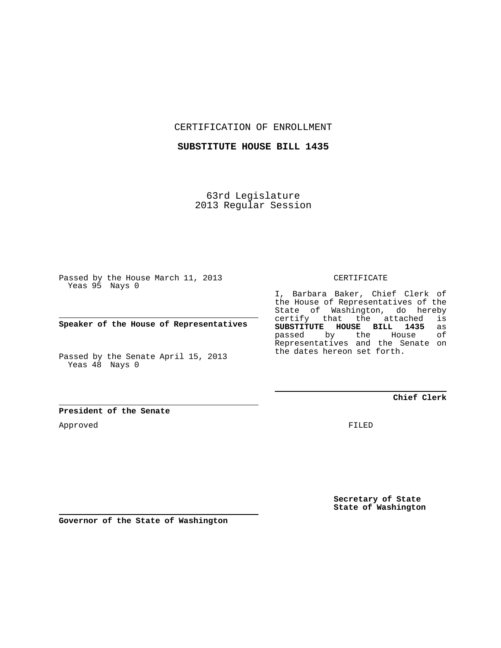CERTIFICATION OF ENROLLMENT

**SUBSTITUTE HOUSE BILL 1435**

63rd Legislature 2013 Regular Session

Passed by the House March 11, 2013 Yeas 95 Nays 0

**Speaker of the House of Representatives**

Passed by the Senate April 15, 2013 Yeas 48 Nays 0

**President of the Senate**

Approved

CERTIFICATE

I, Barbara Baker, Chief Clerk of the House of Representatives of the State of Washington, do hereby certify that the attached is<br>SUBSTITUTE HOUSE BILL 1435 as **SUBSTITUTE HOUSE BILL 1435** as passed by the Representatives and the Senate on the dates hereon set forth.

**Chief Clerk**

FILED

**Secretary of State State of Washington**

**Governor of the State of Washington**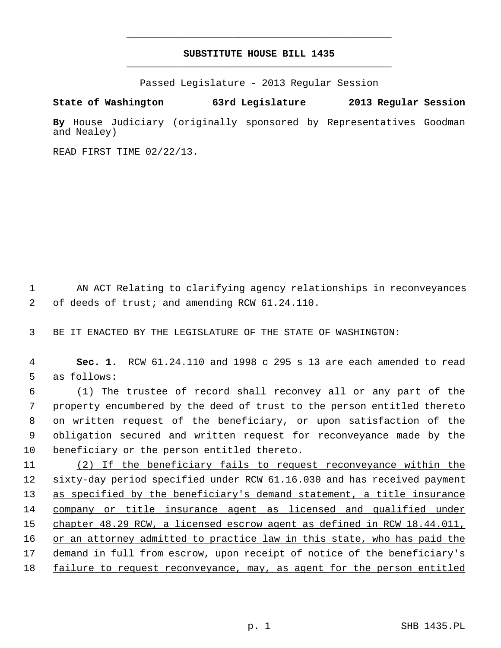## **SUBSTITUTE HOUSE BILL 1435** \_\_\_\_\_\_\_\_\_\_\_\_\_\_\_\_\_\_\_\_\_\_\_\_\_\_\_\_\_\_\_\_\_\_\_\_\_\_\_\_\_\_\_\_\_

\_\_\_\_\_\_\_\_\_\_\_\_\_\_\_\_\_\_\_\_\_\_\_\_\_\_\_\_\_\_\_\_\_\_\_\_\_\_\_\_\_\_\_\_\_

Passed Legislature - 2013 Regular Session

## **State of Washington 63rd Legislature 2013 Regular Session**

**By** House Judiciary (originally sponsored by Representatives Goodman and Nealey)

READ FIRST TIME 02/22/13.

 1 AN ACT Relating to clarifying agency relationships in reconveyances 2 of deeds of trust; and amending RCW 61.24.110.

3 BE IT ENACTED BY THE LEGISLATURE OF THE STATE OF WASHINGTON:

 4 **Sec. 1.** RCW 61.24.110 and 1998 c 295 s 13 are each amended to read 5 as follows:

 6 (1) The trustee of record shall reconvey all or any part of the 7 property encumbered by the deed of trust to the person entitled thereto 8 on written request of the beneficiary, or upon satisfaction of the 9 obligation secured and written request for reconveyance made by the 10 beneficiary or the person entitled thereto.

11 (2) If the beneficiary fails to request reconveyance within the 12 sixty-day period specified under RCW 61.16.030 and has received payment 13 as specified by the beneficiary's demand statement, a title insurance 14 company or title insurance agent as licensed and qualified under 15 chapter 48.29 RCW, a licensed escrow agent as defined in RCW 18.44.011, 16 or an attorney admitted to practice law in this state, who has paid the 17 demand in full from escrow, upon receipt of notice of the beneficiary's 18 failure to request reconveyance, may, as agent for the person entitled